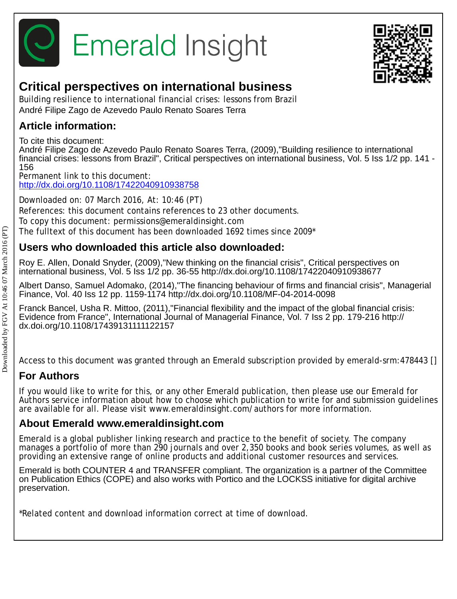



# **Critical perspectives on international business**

Building resilience to international financial crises: lessons from Brazil André Filipe Zago de Azevedo Paulo Renato Soares Terra

# **Article information:**

To cite this document:

André Filipe Zago de Azevedo Paulo Renato Soares Terra, (2009),"Building resilience to international financial crises: lessons from Brazil", Critical perspectives on international business, Vol. 5 Iss 1/2 pp. 141 - 156

Permanent link to this document: <http://dx.doi.org/10.1108/17422040910938758>

Downloaded on: 07 March 2016, At: 10:46 (PT)

References: this document contains references to 23 other documents.

To copy this document: permissions@emeraldinsight.com

The fulltext of this document has been downloaded 1692 times since 2009\*

# **Users who downloaded this article also downloaded:**

Roy E. Allen, Donald Snyder, (2009),"New thinking on the financial crisis", Critical perspectives on international business, Vol. 5 Iss 1/2 pp. 36-55 http://dx.doi.org/10.1108/17422040910938677

Albert Danso, Samuel Adomako, (2014),"The financing behaviour of firms and financial crisis", Managerial Finance, Vol. 40 Iss 12 pp. 1159-1174 http://dx.doi.org/10.1108/MF-04-2014-0098

Franck Bancel, Usha R. Mittoo, (2011),"Financial flexibility and the impact of the global financial crisis: Evidence from France", International Journal of Managerial Finance, Vol. 7 Iss 2 pp. 179-216 http:// dx.doi.org/10.1108/17439131111122157

Access to this document was granted through an Emerald subscription provided by emerald-srm:478443 []

# **For Authors**

If you would like to write for this, or any other Emerald publication, then please use our Emerald for Authors service information about how to choose which publication to write for and submission guidelines are available for all. Please visit www.emeraldinsight.com/authors for more information.

# **About Emerald www.emeraldinsight.com**

Emerald is a global publisher linking research and practice to the benefit of society. The company manages a portfolio of more than 290 journals and over 2,350 books and book series volumes, as well as providing an extensive range of online products and additional customer resources and services.

Emerald is both COUNTER 4 and TRANSFER compliant. The organization is a partner of the Committee on Publication Ethics (COPE) and also works with Portico and the LOCKSS initiative for digital archive preservation.

\*Related content and download information correct at time of download.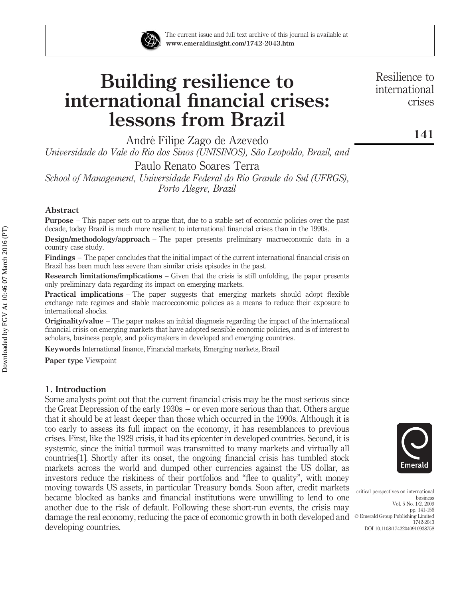

The current issue and full text archive of this journal is available at www.emeraldinsight.com/1742-2043.htm

# Building resilience to international financial crises: lessons from Brazil

André Filipe Zago de Azevedo

Universidade do Vale do Rio dos Sinos (UNISINOS), São Leopoldo, Brazil, and

Paulo Renato Soares Terra

School of Management, Universidade Federal do Rio Grande do Sul (UFRGS), Porto Alegre, Brazil

## Abstract

Purpose – This paper sets out to argue that, due to a stable set of economic policies over the past decade, today Brazil is much more resilient to international financial crises than in the 1990s.

Design/methodology/approach – The paper presents preliminary macroeconomic data in a country case study.

Findings – The paper concludes that the initial impact of the current international financial crisis on Brazil has been much less severe than similar crisis episodes in the past.

Research limitations/implications – Given that the crisis is still unfolding, the paper presents only preliminary data regarding its impact on emerging markets.

**Practical implications** – The paper suggests that emerging markets should adopt flexible exchange rate regimes and stable macroeconomic policies as a means to reduce their exposure to international shocks.

**Originality/value** – The paper makes an initial diagnosis regarding the impact of the international financial crisis on emerging markets that have adopted sensible economic policies, and is of interest to scholars, business people, and policymakers in developed and emerging countries.

Keywords International finance, Financial markets, Emerging markets, Brazil

Paper type Viewpoint

#### 1. Introduction

Some analysts point out that the current financial crisis may be the most serious since the Great Depression of the early 1930s – or even more serious than that. Others argue that it should be at least deeper than those which occurred in the 1990s. Although it is too early to assess its full impact on the economy, it has resemblances to previous crises. First, like the 1929 crisis, it had its epicenter in developed countries. Second, it is systemic, since the initial turmoil was transmitted to many markets and virtually all countries[1]. Shortly after its onset, the ongoing financial crisis has tumbled stock markets across the world and dumped other currencies against the US dollar, as investors reduce the riskiness of their portfolios and "flee to quality", with money moving towards US assets, in particular Treasury bonds. Soon after, credit markets became blocked as banks and financial institutions were unwilling to lend to one another due to the risk of default. Following these short-run events, the crisis may damage the real economy, reducing the pace of economic growth in both developed and developing countries.



critical perspectives on international business Vol. 5 No. 1/2, 2009 pp. 141-156 q Emerald Group Publishing Limited 1742-2043 DOI 10.1108/17422040910938758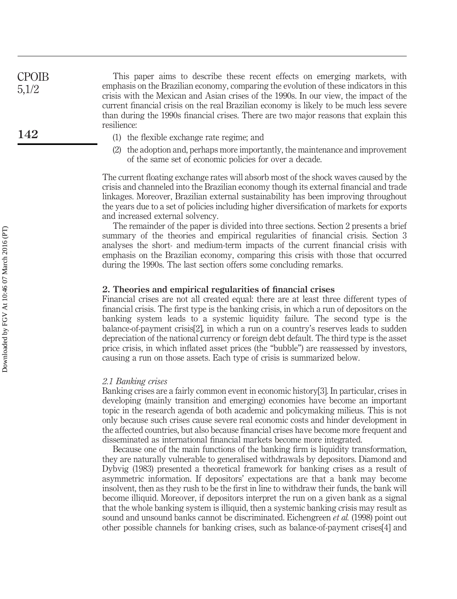This paper aims to describe these recent effects on emerging markets, with emphasis on the Brazilian economy, comparing the evolution of these indicators in this crisis with the Mexican and Asian crises of the 1990s. In our view, the impact of the current financial crisis on the real Brazilian economy is likely to be much less severe than during the 1990s financial crises. There are two major reasons that explain this resilience:

- (1) the flexible exchange rate regime; and
- (2) the adoption and, perhaps more importantly, the maintenance and improvement of the same set of economic policies for over a decade.

The current floating exchange rates will absorb most of the shock waves caused by the crisis and channeled into the Brazilian economy though its external financial and trade linkages. Moreover, Brazilian external sustainability has been improving throughout the years due to a set of policies including higher diversification of markets for exports and increased external solvency.

The remainder of the paper is divided into three sections. Section 2 presents a brief summary of the theories and empirical regularities of financial crisis. Section 3 analyses the short- and medium-term impacts of the current financial crisis with emphasis on the Brazilian economy, comparing this crisis with those that occurred during the 1990s. The last section offers some concluding remarks.

## 2. Theories and empirical regularities of financial crises

Financial crises are not all created equal: there are at least three different types of financial crisis. The first type is the banking crisis, in which a run of depositors on the banking system leads to a systemic liquidity failure. The second type is the balance-of-payment crisis[2], in which a run on a country's reserves leads to sudden depreciation of the national currency or foreign debt default. The third type is the asset price crisis, in which inflated asset prices (the "bubble") are reassessed by investors, causing a run on those assets. Each type of crisis is summarized below.

#### 2.1 Banking crises

Banking crises are a fairly common event in economic history[3]. In particular, crises in developing (mainly transition and emerging) economies have become an important topic in the research agenda of both academic and policymaking milieus. This is not only because such crises cause severe real economic costs and hinder development in the affected countries, but also because financial crises have become more frequent and disseminated as international financial markets become more integrated.

Because one of the main functions of the banking firm is liquidity transformation, they are naturally vulnerable to generalised withdrawals by depositors. Diamond and Dybvig (1983) presented a theoretical framework for banking crises as a result of asymmetric information. If depositors' expectations are that a bank may become insolvent, then as they rush to be the first in line to withdraw their funds, the bank will become illiquid. Moreover, if depositors interpret the run on a given bank as a signal that the whole banking system is illiquid, then a systemic banking crisis may result as sound and unsound banks cannot be discriminated. Eichengreen *et al.* (1998) point out other possible channels for banking crises, such as balance-of-payment crises[4] and

CPOIB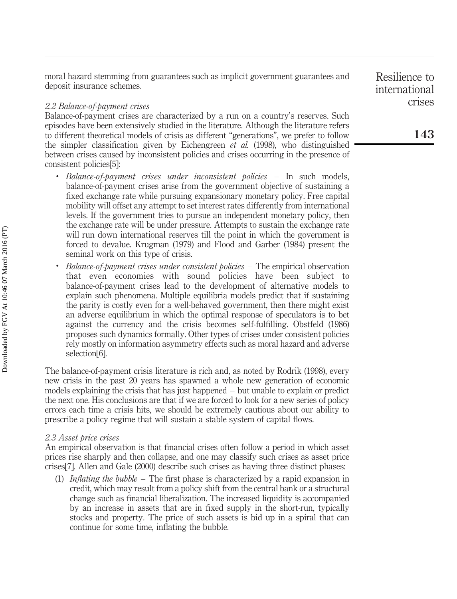moral hazard stemming from guarantees such as implicit government guarantees and deposit insurance schemes.

## 2.2 Balance-of-payment crises

Balance-of-payment crises are characterized by a run on a country's reserves. Such episodes have been extensively studied in the literature. Although the literature refers to different theoretical models of crisis as different "generations", we prefer to follow the simpler classification given by Eichengreen et al. (1998), who distinguished between crises caused by inconsistent policies and crises occurring in the presence of consistent policies[5]:

- Balance-of-payment crises under inconsistent policies In such models, balance-of-payment crises arise from the government objective of sustaining a fixed exchange rate while pursuing expansionary monetary policy. Free capital mobility will offset any attempt to set interest rates differently from international levels. If the government tries to pursue an independent monetary policy, then the exchange rate will be under pressure. Attempts to sustain the exchange rate will run down international reserves till the point in which the government is forced to devalue. Krugman (1979) and Flood and Garber (1984) present the seminal work on this type of crisis.
- Balance-of-payment crises under consistent policies The empirical observation that even economies with sound policies have been subject balance-of-payment crises lead to the development of alternative models to explain such phenomena. Multiple equilibria models predict that if sustaining the parity is costly even for a well-behaved government, then there might exist an adverse equilibrium in which the optimal response of speculators is to bet against the currency and the crisis becomes self-fulfilling. Obstfeld (1986) proposes such dynamics formally. Other types of crises under consistent policies rely mostly on information asymmetry effects such as moral hazard and adverse selection[6].

The balance-of-payment crisis literature is rich and, as noted by Rodrik (1998), every new crisis in the past 20 years has spawned a whole new generation of economic models explaining the crisis that has just happened – but unable to explain or predict the next one. His conclusions are that if we are forced to look for a new series of policy errors each time a crisis hits, we should be extremely cautious about our ability to prescribe a policy regime that will sustain a stable system of capital flows.

### 2.3 Asset price crises

An empirical observation is that financial crises often follow a period in which asset prices rise sharply and then collapse, and one may classify such crises as asset price crises[7]. Allen and Gale (2000) describe such crises as having three distinct phases:

(1) Inflating the bubble – The first phase is characterized by a rapid expansion in credit, which may result from a policy shift from the central bank or a structural change such as financial liberalization. The increased liquidity is accompanied by an increase in assets that are in fixed supply in the short-run, typically stocks and property. The price of such assets is bid up in a spiral that can continue for some time, inflating the bubble.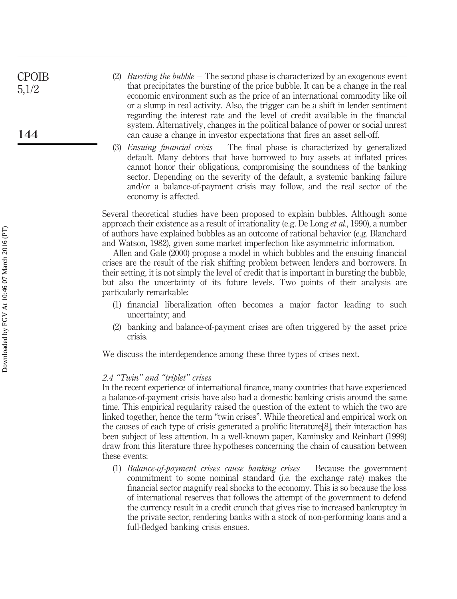CPOIB 5,1/2

144

- (2) *Bursting the bubble The second phase is characterized by an exogenous event* that precipitates the bursting of the price bubble. It can be a change in the real economic environment such as the price of an international commodity like oil or a slump in real activity. Also, the trigger can be a shift in lender sentiment regarding the interest rate and the level of credit available in the financial system. Alternatively, changes in the political balance of power or social unrest can cause a change in investor expectations that fires an asset sell-off.
- (3) Ensuing financial crisis The final phase is characterized by generalized default. Many debtors that have borrowed to buy assets at inflated prices cannot honor their obligations, compromising the soundness of the banking sector. Depending on the severity of the default, a systemic banking failure and/or a balance-of-payment crisis may follow, and the real sector of the economy is affected.

Several theoretical studies have been proposed to explain bubbles. Although some approach their existence as a result of irrationality (e.g. De Long *et al.*, 1990), a number of authors have explained bubbles as an outcome of rational behavior (e.g. Blanchard and Watson, 1982), given some market imperfection like asymmetric information.

Allen and Gale (2000) propose a model in which bubbles and the ensuing financial crises are the result of the risk shifting problem between lenders and borrowers. In their setting, it is not simply the level of credit that is important in bursting the bubble, but also the uncertainty of its future levels. Two points of their analysis are particularly remarkable:

- (1) financial liberalization often becomes a major factor leading to such uncertainty; and
- (2) banking and balance-of-payment crises are often triggered by the asset price crisis.

We discuss the interdependence among these three types of crises next.

# 2.4 "Twin" and "triplet" crises

In the recent experience of international finance, many countries that have experienced a balance-of-payment crisis have also had a domestic banking crisis around the same time. This empirical regularity raised the question of the extent to which the two are linked together, hence the term "twin crises". While theoretical and empirical work on the causes of each type of crisis generated a prolific literature[8], their interaction has been subject of less attention. In a well-known paper, Kaminsky and Reinhart (1999) draw from this literature three hypotheses concerning the chain of causation between these events:

(1) Balance-of-payment crises cause banking crises – Because the government commitment to some nominal standard (i.e. the exchange rate) makes the financial sector magnify real shocks to the economy. This is so because the loss of international reserves that follows the attempt of the government to defend the currency result in a credit crunch that gives rise to increased bankruptcy in the private sector, rendering banks with a stock of non-performing loans and a full-fledged banking crisis ensues.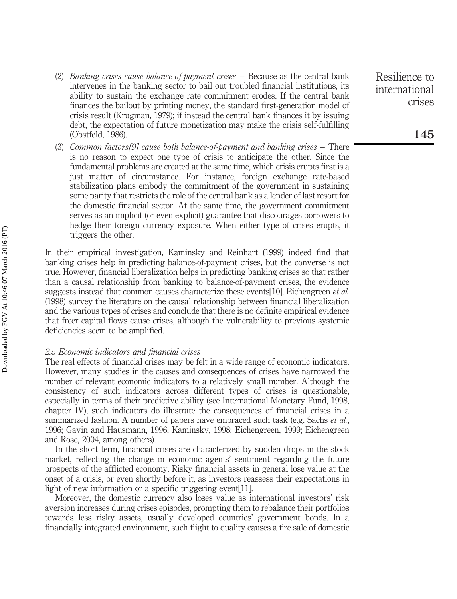- (2) Banking crises cause balance-of-payment crises Because as the central bank intervenes in the banking sector to bail out troubled financial institutions, its ability to sustain the exchange rate commitment erodes. If the central bank finances the bailout by printing money, the standard first-generation model of crisis result (Krugman, 1979); if instead the central bank finances it by issuing debt, the expectation of future monetization may make the crisis self-fulfilling (Obstfeld, 1986).
- (3) Common factors[9] cause both balance-of-payment and banking crises There is no reason to expect one type of crisis to anticipate the other. Since the fundamental problems are created at the same time, which crisis erupts first is a just matter of circumstance. For instance, foreign exchange rate-based stabilization plans embody the commitment of the government in sustaining some parity that restricts the role of the central bank as a lender of last resort for the domestic financial sector. At the same time, the government commitment serves as an implicit (or even explicit) guarantee that discourages borrowers to hedge their foreign currency exposure. When either type of crises erupts, it triggers the other.

In their empirical investigation, Kaminsky and Reinhart (1999) indeed find that banking crises help in predicting balance-of-payment crises, but the converse is not true. However, financial liberalization helps in predicting banking crises so that rather than a causal relationship from banking to balance-of-payment crises, the evidence suggests instead that common causes characterize these events[10]. Eichengreen et al. (1998) survey the literature on the causal relationship between financial liberalization and the various types of crises and conclude that there is no definite empirical evidence that freer capital flows cause crises, although the vulnerability to previous systemic deficiencies seem to be amplified.

#### 2.5 Economic indicators and financial crises

The real effects of financial crises may be felt in a wide range of economic indicators. However, many studies in the causes and consequences of crises have narrowed the number of relevant economic indicators to a relatively small number. Although the consistency of such indicators across different types of crises is questionable, especially in terms of their predictive ability (see International Monetary Fund, 1998, chapter IV), such indicators do illustrate the consequences of financial crises in a summarized fashion. A number of papers have embraced such task (e.g. Sachs *et al.*, 1996; Gavin and Hausmann, 1996; Kaminsky, 1998; Eichengreen, 1999; Eichengreen and Rose, 2004, among others).

In the short term, financial crises are characterized by sudden drops in the stock market, reflecting the change in economic agents' sentiment regarding the future prospects of the afflicted economy. Risky financial assets in general lose value at the onset of a crisis, or even shortly before it, as investors reassess their expectations in light of new information or a specific triggering event[11].

Moreover, the domestic currency also loses value as international investors' risk aversion increases during crises episodes, prompting them to rebalance their portfolios towards less risky assets, usually developed countries' government bonds. In a financially integrated environment, such flight to quality causes a fire sale of domestic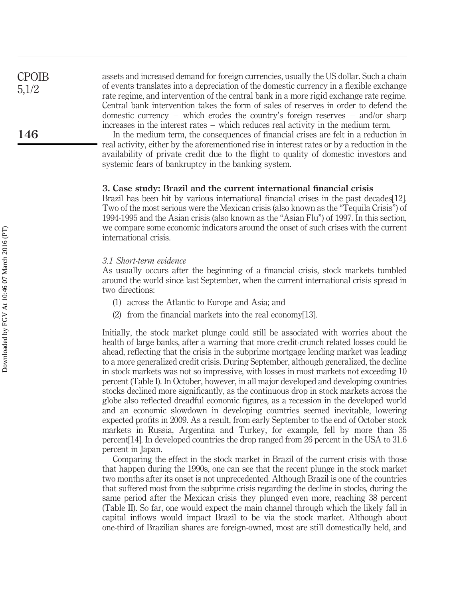CPOIB 5,1/2

146

assets and increased demand for foreign currencies, usually the US dollar. Such a chain of events translates into a depreciation of the domestic currency in a flexible exchange rate regime, and intervention of the central bank in a more rigid exchange rate regime. Central bank intervention takes the form of sales of reserves in order to defend the domestic currency – which erodes the country's foreign reserves – and/or sharp increases in the interest rates – which reduces real activity in the medium term.

In the medium term, the consequences of financial crises are felt in a reduction in real activity, either by the aforementioned rise in interest rates or by a reduction in the availability of private credit due to the flight to quality of domestic investors and systemic fears of bankruptcy in the banking system.

#### 3. Case study: Brazil and the current international financial crisis

Brazil has been hit by various international financial crises in the past decades[12]. Two of the most serious were the Mexican crisis (also known as the "Tequila Crisis") of 1994-1995 and the Asian crisis (also known as the "Asian Flu") of 1997. In this section, we compare some economic indicators around the onset of such crises with the current international crisis.

#### 3.1 Short-term evidence

As usually occurs after the beginning of a financial crisis, stock markets tumbled around the world since last September, when the current international crisis spread in two directions:

- (1) across the Atlantic to Europe and Asia; and
- (2) from the financial markets into the real economy[13].

Initially, the stock market plunge could still be associated with worries about the health of large banks, after a warning that more credit-crunch related losses could lie ahead, reflecting that the crisis in the subprime mortgage lending market was leading to a more generalized credit crisis. During September, although generalized, the decline in stock markets was not so impressive, with losses in most markets not exceeding 10 percent (Table I). In October, however, in all major developed and developing countries stocks declined more significantly, as the continuous drop in stock markets across the globe also reflected dreadful economic figures, as a recession in the developed world and an economic slowdown in developing countries seemed inevitable, lowering expected profits in 2009. As a result, from early September to the end of October stock markets in Russia, Argentina and Turkey, for example, fell by more than 35 percent[14]. In developed countries the drop ranged from 26 percent in the USA to 31.6 percent in Japan.

Comparing the effect in the stock market in Brazil of the current crisis with those that happen during the 1990s, one can see that the recent plunge in the stock market two months after its onset is not unprecedented. Although Brazil is one of the countries that suffered most from the subprime crisis regarding the decline in stocks, during the same period after the Mexican crisis they plunged even more, reaching 38 percent (Table II). So far, one would expect the main channel through which the likely fall in capital inflows would impact Brazil to be via the stock market. Although about one-third of Brazilian shares are foreign-owned, most are still domestically held, and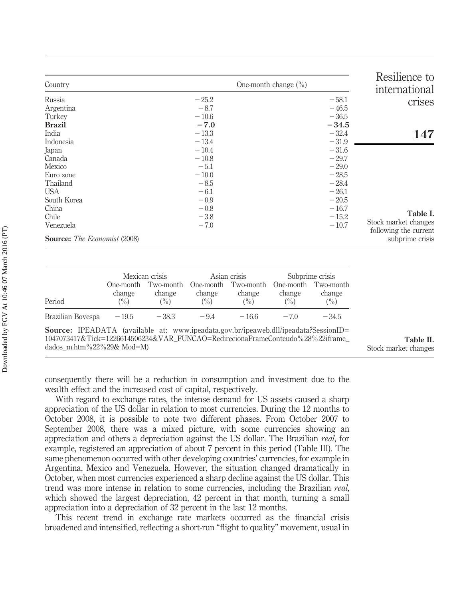| Country                             |         | One-month change $(\%)$ | Resilience to<br>international           |
|-------------------------------------|---------|-------------------------|------------------------------------------|
| Russia                              | $-25.2$ | $-58.1$                 | crises                                   |
| Argentina                           | $-8.7$  | $-46.5$                 |                                          |
| Turkey                              | $-10.6$ | $-36.5$                 |                                          |
| <b>Brazil</b>                       | $-7.0$  | $-34.5$                 |                                          |
| India                               | $-13.3$ | $-32.4$                 | 147                                      |
| Indonesia                           | $-13.4$ | $-31.9$                 |                                          |
| Japan                               | $-10.4$ | $-31.6$                 |                                          |
| Canada                              | $-10.8$ | $-29.7$                 |                                          |
| Mexico                              | $-5.1$  | $-29.0$                 |                                          |
| Euro zone                           | $-10.0$ | $-28.5$                 |                                          |
| Thailand                            | $-8.5$  | $-28.4$                 |                                          |
| <b>USA</b>                          | $-6.1$  | $-26.1$                 |                                          |
| South Korea                         | $-0.9$  | $-20.5$                 |                                          |
| China                               | $-0.8$  | $-16.7$                 |                                          |
| Chile                               | $-3.8$  | $-15.2$                 | Table I.                                 |
| Venezuela                           | $-7.0$  | $-10.7$                 | Stock market changes                     |
| <b>Source:</b> The Economist (2008) |         |                         | following the current<br>subprime crisis |

|                   | Mexican crisis                                         |                                       |                          | Asian crisis                                                | Subprime crisis  |                          |  |
|-------------------|--------------------------------------------------------|---------------------------------------|--------------------------|-------------------------------------------------------------|------------------|--------------------------|--|
| Period            | One-month<br>change<br>$\binom{0}{0}$                  | Two-month<br>change<br>$\binom{0}{0}$ | change<br>$\binom{0}{0}$ | One-month Two-month One-month Two-month<br>change<br>$($ %) | change<br>$($ %) | change<br>$\binom{0}{0}$ |  |
| Brazilian Bovespa | $-19.5$                                                | $-38.3$                               | $-94$                    | $-166$                                                      | $-70$            | $-34.5$                  |  |
| $\sim$            | $T\Gamma\Gamma\Gamma\Lambda\Gamma\Lambda\Gamma\Lambda$ |                                       |                          |                                                             | 1.1111           | $\cdots$                 |  |

Source: IPEADATA (available at: www.ipeadata.gov.br/ipeaweb.dll/ipeadata?SessionID= 1047073417&Tick=1226614506234&VAR\_FUNCAO=RedirecionaFrameConteudo%28%22iframe\_ dados  $m.htm\%22\%29\&Mod=M$ 

Table II. Stock market changes

consequently there will be a reduction in consumption and investment due to the wealth effect and the increased cost of capital, respectively.

With regard to exchange rates, the intense demand for US assets caused a sharp appreciation of the US dollar in relation to most currencies. During the 12 months to October 2008, it is possible to note two different phases. From October 2007 to September 2008, there was a mixed picture, with some currencies showing an appreciation and others a depreciation against the US dollar. The Brazilian *real*, for example, registered an appreciation of about 7 percent in this period (Table III). The same phenomenon occurred with other developing countries' currencies, for example in Argentina, Mexico and Venezuela. However, the situation changed dramatically in October, when most currencies experienced a sharp decline against the US dollar. This trend was more intense in relation to some currencies, including the Brazilian real, which showed the largest depreciation, 42 percent in that month, turning a small appreciation into a depreciation of 32 percent in the last 12 months.

This recent trend in exchange rate markets occurred as the financial crisis broadened and intensified, reflecting a short-run "flight to quality" movement, usual in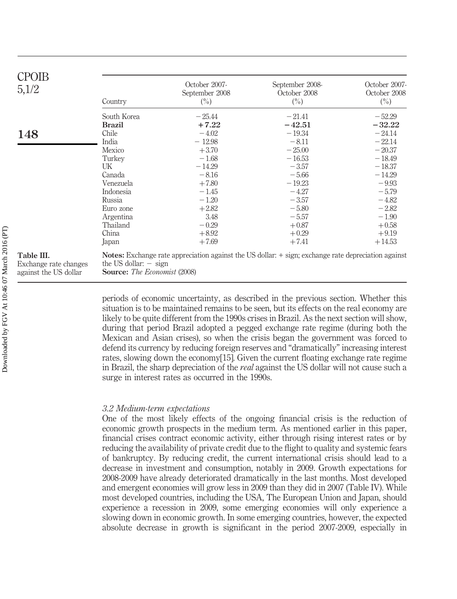| CPOIB<br>5,1/2 | Country     | October 2007-<br>September 2008<br>$(\% )$ | September 2008-<br>October 2008<br>$\binom{0}{0}$                                                   | October 2007-<br>October 2008<br>$(\%)$ |
|----------------|-------------|--------------------------------------------|-----------------------------------------------------------------------------------------------------|-----------------------------------------|
|                | South Korea | $-25.44$                                   | $-21.41$                                                                                            | $-52.29$                                |
|                | Brazil      | $+7.22$                                    | $-42.51$                                                                                            | $-32.22$                                |
| 148            | Chile       | $-4.02$                                    | $-19.34$                                                                                            | $-24.14$                                |
|                | India       | $-12.98$                                   | $-8.11$                                                                                             | $-22.14$                                |
|                | Mexico      | $+3.70$                                    | $-25.00$                                                                                            | $-20.37$                                |
|                | Turkey      | $-1.68$                                    | $-16.53$                                                                                            | $-18.49$                                |
|                | UK          | $-14.29$                                   | $-3.57$                                                                                             | $-18.37$                                |
|                | Canada      | $-8.16$                                    | $-5.66$                                                                                             | $-14.29$                                |
|                | Venezuela   | $+7.80$                                    | $-19.23$                                                                                            | $-9.93$                                 |
|                | Indonesia   | $-1.45$                                    | $-4.27$                                                                                             | $-5.79$                                 |
|                | Russia      | $-1.20$                                    | $-3.57$                                                                                             | $-4.82$                                 |
|                | Euro zone   | $+2.82$                                    | $-5.80$                                                                                             | $-2.82$                                 |
|                | Argentina   | 3.48                                       | $-5.57$                                                                                             | $-1.90$                                 |
|                | Thailand    | $-0.29$                                    | $+0.87$                                                                                             | $+0.58$                                 |
|                | China       | $+8.92$                                    | $+0.29$                                                                                             | $+9.19$                                 |
|                | Japan       | $+7.69$                                    | $+7.41$                                                                                             | $+14.53$                                |
| Table III.     |             |                                            | Notes: Exchange rate appreciation against the US dollar: + sign; exchange rate depreciation against |                                         |

Table III.

Exchange rate changes against the US dollar

the US dollar:  $-$  sign Source: The Economist (2008)

periods of economic uncertainty, as described in the previous section. Whether this situation is to be maintained remains to be seen, but its effects on the real economy are likely to be quite different from the 1990s crises in Brazil. As the next section will show, during that period Brazil adopted a pegged exchange rate regime (during both the Mexican and Asian crises), so when the crisis began the government was forced to defend its currency by reducing foreign reserves and "dramatically" increasing interest rates, slowing down the economy[15]. Given the current floating exchange rate regime in Brazil, the sharp depreciation of the real against the US dollar will not cause such a surge in interest rates as occurred in the 1990s.

# 3.2 Medium-term expectations

One of the most likely effects of the ongoing financial crisis is the reduction of economic growth prospects in the medium term. As mentioned earlier in this paper, financial crises contract economic activity, either through rising interest rates or by reducing the availability of private credit due to the flight to quality and systemic fears of bankruptcy. By reducing credit, the current international crisis should lead to a decrease in investment and consumption, notably in 2009. Growth expectations for 2008-2009 have already deteriorated dramatically in the last months. Most developed and emergent economies will grow less in 2009 than they did in 2007 (Table IV). While most developed countries, including the USA, The European Union and Japan, should experience a recession in 2009, some emerging economies will only experience a slowing down in economic growth. In some emerging countries, however, the expected absolute decrease in growth is significant in the period 2007-2009, especially in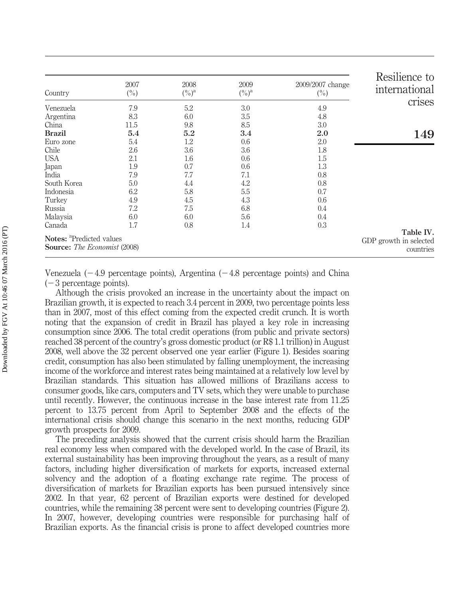| Country                                                                     | 2007<br>(%) | 2008<br>$(\%)^a$ | 2009<br>$(\%)^a$ | 2009/2007 change<br>$(\% )$ | Resilience to<br>international                   |
|-----------------------------------------------------------------------------|-------------|------------------|------------------|-----------------------------|--------------------------------------------------|
| Venezuela                                                                   | 7.9         | 5.2              | 3.0              | 4.9                         | <b>Crises</b>                                    |
| Argentina                                                                   | 8.3         | 6.0              | 3.5              | 4.8                         |                                                  |
| China                                                                       | 11.5        | 9.8              | 8.5              | 3.0                         |                                                  |
| <b>Brazil</b>                                                               | 5.4         | 5.2              | 3.4              | 2.0                         | 149                                              |
| Euro zone                                                                   | 5.4         | 1.2              | 0.6              | 2.0                         |                                                  |
| Chile                                                                       | 2.6         | 3.6              | 3.6              | 1.8                         |                                                  |
| <b>USA</b>                                                                  | 2.1         | 1.6              | 0.6              | 1.5                         |                                                  |
| Japan                                                                       | 1.9         | 0.7              | 0.6              | 1.3                         |                                                  |
| India                                                                       | 7.9         | 7.7              | 7.1              | 0.8                         |                                                  |
| South Korea                                                                 | 5.0         | 4.4              | 4.2              | 0.8                         |                                                  |
| Indonesia                                                                   | 6.2         | 5.8              | 5.5              | 0.7                         |                                                  |
| Turkey                                                                      | 4.9         | 4.5              | 4.3              | 0.6                         |                                                  |
| Russia                                                                      | 7.2         | 7.5              | 6.8              | 0.4                         |                                                  |
| Malaysia                                                                    | 6.0         | 6.0              | 5.6              | 0.4                         |                                                  |
| Canada                                                                      | 1.7         | 0.8              | 1.4              | 0.3                         |                                                  |
| Notes: <sup>a</sup> Predicted values<br><b>Source:</b> The Economist (2008) |             |                  |                  |                             | Table IV.<br>GDP growth in selected<br>countries |

Venezuela  $(-4.9$  percentage points), Argentina  $(-4.8$  percentage points) and China  $(-3$  percentage points).

Although the crisis provoked an increase in the uncertainty about the impact on Brazilian growth, it is expected to reach 3.4 percent in 2009, two percentage points less than in 2007, most of this effect coming from the expected credit crunch. It is worth noting that the expansion of credit in Brazil has played a key role in increasing consumption since 2006. The total credit operations (from public and private sectors) reached 38 percent of the country's gross domestic product (or R\$ 1.1 trillion) in August 2008, well above the 32 percent observed one year earlier (Figure 1). Besides soaring credit, consumption has also been stimulated by falling unemployment, the increasing income of the workforce and interest rates being maintained at a relatively low level by Brazilian standards. This situation has allowed millions of Brazilians access to consumer goods, like cars, computers and TV sets, which they were unable to purchase until recently. However, the continuous increase in the base interest rate from 11.25 percent to 13.75 percent from April to September 2008 and the effects of the international crisis should change this scenario in the next months, reducing GDP growth prospects for 2009.

The preceding analysis showed that the current crisis should harm the Brazilian real economy less when compared with the developed world. In the case of Brazil, its external sustainability has been improving throughout the years, as a result of many factors, including higher diversification of markets for exports, increased external solvency and the adoption of a floating exchange rate regime. The process of diversification of markets for Brazilian exports has been pursued intensively since 2002. In that year, 62 percent of Brazilian exports were destined for developed countries, while the remaining 38 percent were sent to developing countries (Figure 2). In 2007, however, developing countries were responsible for purchasing half of Brazilian exports. As the financial crisis is prone to affect developed countries more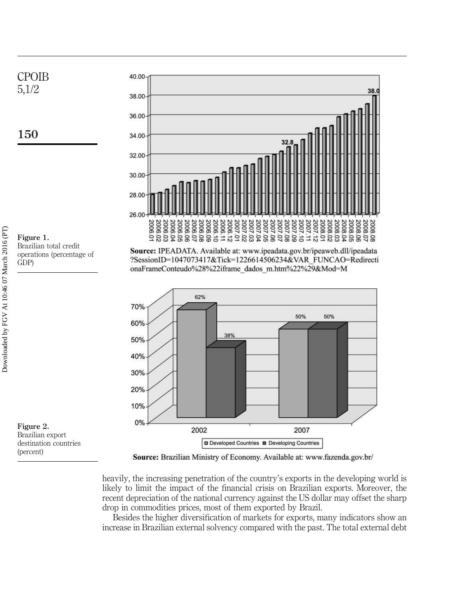

# 150







Source: IPEADATA. Available at: www.ipeadata.gov.br/ipeaweb.dll/ipeadata ?SessionID=1047073417&Tick=1226614506234&VAR FUNCAO=Redirecti onaFrameConteudo%28%22iframe dados m.htm%22%29&Mod=M



Source: Brazilian Ministry of Economy. Available at: www.fazenda.gov.br/

heavily, the increasing penetration of the country's exports in the developing world is likely to limit the impact of the financial crisis on Brazilian exports. Moreover, the recent depreciation of the national currency against the US dollar may offset the sharp drop in commodities prices, most of them exported by Brazil.

Besides the higher diversification of markets for exports, many indicators show an increase in Brazilian external solvency compared with the past. The total external debt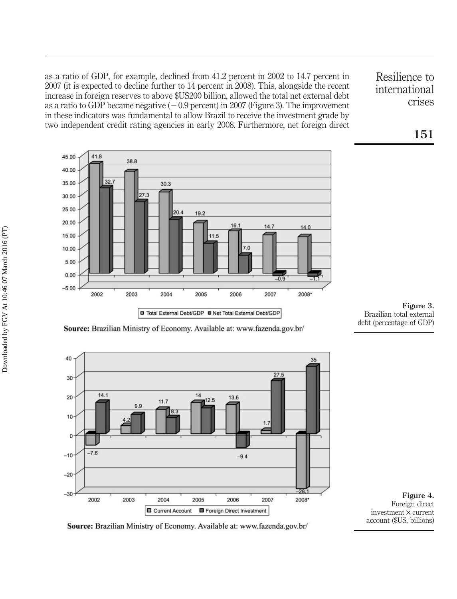as a ratio of GDP, for example, declined from 41.2 percent in 2002 to 14.7 percent in 2007 (it is expected to decline further to 14 percent in 2008). This, alongside the recent increase in foreign reserves to above \$US200 billion, allowed the total net external debt as a ratio to GDP became negative  $(-0.9$  percent) in 2007 (Figure 3). The improvement in these indicators was fundamental to allow Brazil to receive the investment grade by two independent credit rating agencies in early 2008. Furthermore, net foreign direct



Figure 3. Brazilian total external debt (percentage of GDP)

Source: Brazilian Ministry of Economy. Available at: www.fazenda.gov.br/



Figure 4. Foreign direct investment *£* current account (\$US, billions)

Source: Brazilian Ministry of Economy. Available at: www.fazenda.gov.br/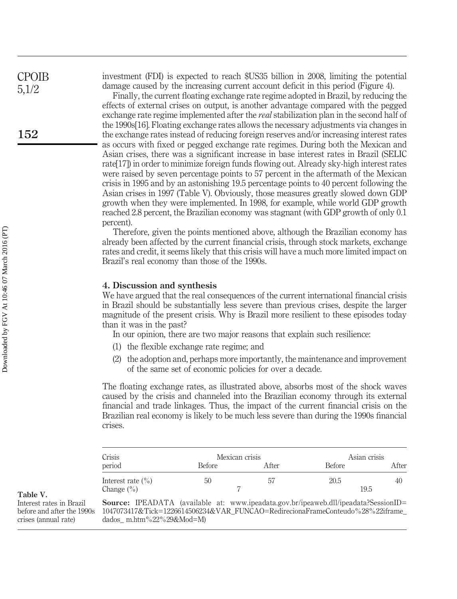investment (FDI) is expected to reach \$US35 billion in 2008, limiting the potential damage caused by the increasing current account deficit in this period (Figure 4).

Finally, the current floating exchange rate regime adopted in Brazil, by reducing the effects of external crises on output, is another advantage compared with the pegged exchange rate regime implemented after the *real* stabilization plan in the second half of the 1990s[16]. Floating exchange rates allows the necessary adjustments via changes in the exchange rates instead of reducing foreign reserves and/or increasing interest rates as occurs with fixed or pegged exchange rate regimes. During both the Mexican and Asian crises, there was a significant increase in base interest rates in Brazil (SELIC rate[17]) in order to minimize foreign funds flowing out. Already sky-high interest rates were raised by seven percentage points to 57 percent in the aftermath of the Mexican crisis in 1995 and by an astonishing 19.5 percentage points to 40 percent following the Asian crises in 1997 (Table V). Obviously, those measures greatly slowed down GDP growth when they were implemented. In 1998, for example, while world GDP growth reached 2.8 percent, the Brazilian economy was stagnant (with GDP growth of only 0.1 percent).

Therefore, given the points mentioned above, although the Brazilian economy has already been affected by the current financial crisis, through stock markets, exchange rates and credit, it seems likely that this crisis will have a much more limited impact on Brazil's real economy than those of the 1990s.

# 4. Discussion and synthesis

We have argued that the real consequences of the current international financial crisis in Brazil should be substantially less severe than previous crises, despite the larger magnitude of the present crisis. Why is Brazil more resilient to these episodes today than it was in the past?

In our opinion, there are two major reasons that explain such resilience:

- (1) the flexible exchange rate regime; and
- (2) the adoption and, perhaps more importantly, the maintenance and improvement of the same set of economic policies for over a decade.

The floating exchange rates, as illustrated above, absorbs most of the shock waves caused by the crisis and channeled into the Brazilian economy through its external financial and trade linkages. Thus, the impact of the current financial crisis on the Brazilian real economy is likely to be much less severe than during the 1990s financial crises.

|                                       | Crisis                                                                                                                                                                                                                                            | Mexican crisis |        | Asian crisis  |       |  |
|---------------------------------------|---------------------------------------------------------------------------------------------------------------------------------------------------------------------------------------------------------------------------------------------------|----------------|--------|---------------|-------|--|
|                                       | period                                                                                                                                                                                                                                            | <b>Before</b>  | A fter | <b>Before</b> | After |  |
|                                       | Interest rate $\binom{0}{0}$                                                                                                                                                                                                                      | 50             | 57     | 20.5          | 40    |  |
| le V.                                 | Change $(\% )$                                                                                                                                                                                                                                    |                |        | 19.5          |       |  |
| est rates in Brazil -<br>$1.21 - 1.1$ | <b>Source:</b> IPEADATA (available at: www.ipeadata.gov.br/ipeaweb.dll/ipeadata?SessionID=<br>$10.470794170$ $T$ ; $1 = 19900145009940$ $I/M$ $R$ $IMP$ $A$ $O = D$ , $1; \ldots; \ldots; P; \ldots; O$ , $1; \ldots; 1; 0/900/90$ ; $f_{\ldots}$ |                |        |               |       |  |

Inter before and after the 1990s crises (annual rate)

Tab

1047073417&Tick=1226614506234&VAR\_FUNCAO=RedirecionaFrameConteudo%28%22iframe\_ dados\_ m.htm%22%29&Mod=M)

CPOIB 5,1/2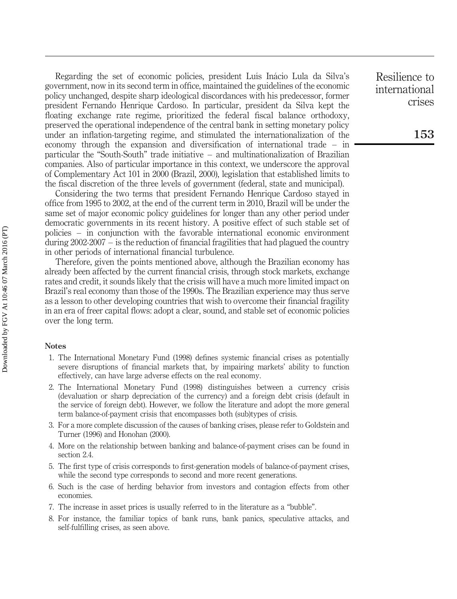Regarding the set of economic policies, president Luís Inácio Lula da Silva's government, now in its second term in office, maintained the guidelines of the economic policy unchanged, despite sharp ideological discordances with his predecessor, former president Fernando Henrique Cardoso. In particular, president da Silva kept the floating exchange rate regime, prioritized the federal fiscal balance orthodoxy, preserved the operational independence of the central bank in setting monetary policy under an inflation-targeting regime, and stimulated the internationalization of the economy through the expansion and diversification of international trade – in particular the "South-South" trade initiative – and multinationalization of Brazilian companies. Also of particular importance in this context, we underscore the approval of Complementary Act 101 in 2000 (Brazil, 2000), legislation that established limits to the fiscal discretion of the three levels of government (federal, state and municipal).

Considering the two terms that president Fernando Henrique Cardoso stayed in office from 1995 to 2002, at the end of the current term in 2010, Brazil will be under the same set of major economic policy guidelines for longer than any other period under democratic governments in its recent history. A positive effect of such stable set of policies – in conjunction with the favorable international economic environment during 2002-2007 – is the reduction of financial fragilities that had plagued the country in other periods of international financial turbulence.

Therefore, given the points mentioned above, although the Brazilian economy has already been affected by the current financial crisis, through stock markets, exchange rates and credit, it sounds likely that the crisis will have a much more limited impact on Brazil's real economy than those of the 1990s. The Brazilian experience may thus serve as a lesson to other developing countries that wish to overcome their financial fragility in an era of freer capital flows: adopt a clear, sound, and stable set of economic policies over the long term.

#### Notes

- 1. The International Monetary Fund (1998) defines systemic financial crises as potentially severe disruptions of financial markets that, by impairing markets' ability to function effectively, can have large adverse effects on the real economy.
- 2. The International Monetary Fund (1998) distinguishes between a currency crisis (devaluation or sharp depreciation of the currency) and a foreign debt crisis (default in the service of foreign debt). However, we follow the literature and adopt the more general term balance-of-payment crisis that encompasses both (sub)types of crisis.
- 3. For a more complete discussion of the causes of banking crises, please refer to Goldstein and Turner (1996) and Honohan (2000).
- 4. More on the relationship between banking and balance-of-payment crises can be found in section 2.4.
- 5. The first type of crisis corresponds to first-generation models of balance-of-payment crises, while the second type corresponds to second and more recent generations.
- 6. Such is the case of herding behavior from investors and contagion effects from other economies.
- 7. The increase in asset prices is usually referred to in the literature as a "bubble".
- 8. For instance, the familiar topics of bank runs, bank panics, speculative attacks, and self-fulfilling crises, as seen above.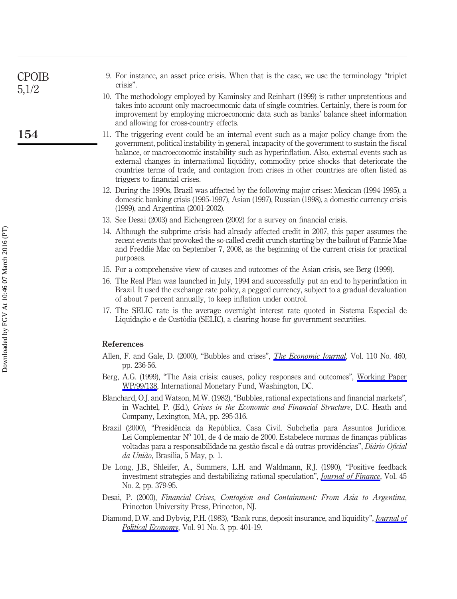| 9. For instance, an asset price crisis. When that is the case, we use the terminology "triplet |  |  |  |  |  |
|------------------------------------------------------------------------------------------------|--|--|--|--|--|
| crisis".                                                                                       |  |  |  |  |  |

- 10. The methodology employed by Kaminsky and Reinhart (1999) is rather unpretentious and takes into account only macroeconomic data of single countries. Certainly, there is room for improvement by employing microeconomic data such as banks' balance sheet information and allowing for cross-country effects.
- 11. The triggering event could be an internal event such as a major policy change from the government, political instability in general, incapacity of the government to sustain the fiscal balance, or macroeconomic instability such as hyperinflation. Also, external events such as external changes in international liquidity, commodity price shocks that deteriorate the countries terms of trade, and contagion from crises in other countries are often listed as triggers to financial crises.
	- 12. During the 1990s, Brazil was affected by the following major crises: Mexican (1994-1995), a domestic banking crisis (1995-1997), Asian (1997), Russian (1998), a domestic currency crisis (1999), and Argentina (2001-2002).
	- 13. See Desai (2003) and Eichengreen (2002) for a survey on financial crisis.
	- 14. Although the subprime crisis had already affected credit in 2007, this paper assumes the recent events that provoked the so-called credit crunch starting by the bailout of Fannie Mae and Freddie Mac on September 7, 2008, as the beginning of the current crisis for practical purposes.
	- 15. For a comprehensive view of causes and outcomes of the Asian crisis, see Berg (1999).
	- 16. The Real Plan was launched in July, 1994 and successfully put an end to hyperinflation in Brazil. It used the exchange rate policy, a pegged currency, subject to a gradual devaluation of about 7 percent annually, to keep inflation under control.
	- 17. The SELIC rate is the average overnight interest rate quoted in Sistema Especial de Liquidação e de Custódia (SELIC), a clearing house for government securities.

#### References

- Allen, F. and Gale, D. (2000), "Bubbles and crises", *[The Economic Journal](http://www.emeraldinsight.com/action/showLinks?crossref=10.1111%2F1468-0297.00499)*, Vol. 110 No. 460, pp. 236-56.
- Berg, A.G. (1999), "The Asia crisis: causes, policy responses and outcomes", [Working Paper](http://www.emeraldinsight.com/action/showLinks?crossref=10.5089%2F9781451855968.001) [WP/99/138](http://www.emeraldinsight.com/action/showLinks?crossref=10.5089%2F9781451855968.001), International Monetary Fund, Washington, DC.
- Blanchard, O.J. and Watson, M.W. (1982), "Bubbles, rational expectations and financial markets", in Wachtel, P. (Ed.), Crises in the Economic and Financial Structure, D.C. Heath and Company, Lexington, MA, pp. 295-316.
- Brazil (2000), "Presidência da República. Casa Civil. Subchefia para Assuntos Jurídicos. Lei Complementar  $N^{\circ}$  101, de 4 de maio de 2000. Estabelece normas de finanças públicas voltadas para a responsabilidade na gestão fiscal e dá outras providências", Diário Oficial  $da$  União, Brasília, 5 May, p. 1.
- De Long, J.B., Shleifer, A., Summers, L.H. and Waldmann, R.J. (1990), "Positive feedback investment strategies and destabilizing rational speculation", *[Journal of Finance](http://www.emeraldinsight.com/action/showLinks?crossref=10.2307%2F2328662)*, Vol. 45 No. 2, pp. 379-95.
- Desai, P. (2003), Financial Crises, Contagion and Containment: From Asia to Argentina, Princeton University Press, Princeton, NJ.
- Diamond, D.W. and Dybvig, P.H. (1983), "Bank runs, deposit insurance, and liquidity", *[Journal of](http://www.emeraldinsight.com/action/showLinks?crossref=10.1086%2F261155)* [Political Economy](http://www.emeraldinsight.com/action/showLinks?crossref=10.1086%2F261155), Vol. 91 No. 3, pp. 401-19.

CPOIB 5,1/2

154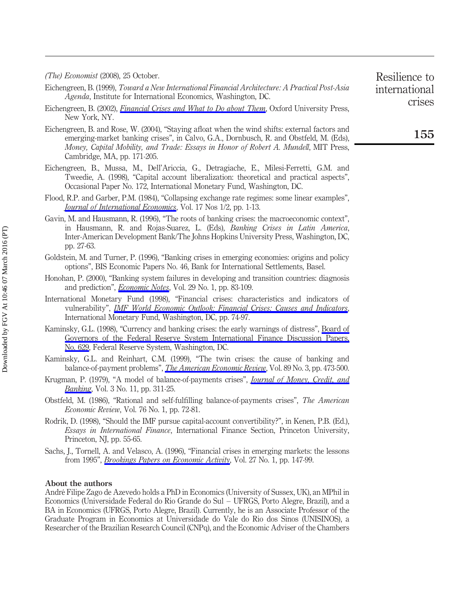(The) Economist (2008), 25 October.

- Eichengreen, B. (1999), Toward a New International Financial Architecture: A Practical Post-Asia Agenda, Institute for International Economics, Washington, DC.
- Eichengreen, B. (2002), *[Financial Crises and What to Do about Them](http://www.emeraldinsight.com/action/showLinks?crossref=10.1093%2Facprof%3Aoso%2F9780199257430.001.0001)*, Oxford University Press, New York, NY.
- Eichengreen, B. and Rose, W. (2004), "Staying afloat when the wind shifts: external factors and emerging-market banking crises", in Calvo, G.A., Dornbusch, R. and Obstfeld, M. (Eds), Money, Capital Mobility, and Trade: Essays in Honor of Robert A. Mundell, MIT Press, Cambridge, MA, pp. 171-205.
- Eichengreen, B., Mussa, M., Dell'Ariccia, G., Detragiache, E., Milesi-Ferretti, G.M. and Tweedie, A. (1998), "Capital account liberalization: theoretical and practical aspects", Occasional Paper No. 172, International Monetary Fund, Washington, DC.
- Flood, R.P. and Garber, P.M. (1984), "Collapsing exchange rate regimes: some linear examples", [Journal of International Economics](http://www.emeraldinsight.com/action/showLinks?crossref=10.1016%2F0022-1996%2884%2990002-3), Vol. 17 Nos 1/2, pp. 1-13.
- Gavin, M. and Hausmann, R. (1996), "The roots of banking crises: the macroeconomic context", in Hausmann, R. and Rojas-Suarez, L. (Eds), Banking Crises in Latin America, Inter-American Development Bank/The Johns Hopkins University Press, Washington, DC, pp. 27-63.
- Goldstein, M. and Turner, P. (1996), "Banking crises in emerging economies: origins and policy options", BIS Economic Papers No. 46, Bank for International Settlements, Basel.
- Honohan, P. (2000), "Banking system failures in developing and transition countries: diagnosis and prediction", *[Economic Notes](http://www.emeraldinsight.com/action/showLinks?crossref=10.1111%2F1468-0300.00025)*, Vol. 29 No. 1, pp. 83-109.
- International Monetary Fund (1998), "Financial crises: characteristics and indicators of vulnerability", *[IMF World Economic Outlook: Financial Crises: Causes and Indicators](http://www.emeraldinsight.com/action/showLinks?crossref=10.5089%2F9781557757401.081)*, International Monetary Fund, Washington, DC, pp. 74-97.
- Kaminsky, G.L. (1998), "Currency and banking crises: the early warnings of distress", [Board of](http://www.emeraldinsight.com/action/showLinks?crossref=10.2139%2Fssrn.141589) [Governors of the Federal Reserve System International Finance Discussion Papers,](http://www.emeraldinsight.com/action/showLinks?crossref=10.2139%2Fssrn.141589) [No. 629](http://www.emeraldinsight.com/action/showLinks?crossref=10.2139%2Fssrn.141589), Federal Reserve System, Washington, DC.
- Kaminsky, G.L. and Reinhart, C.M. (1999), "The twin crises: the cause of banking and balance-of-payment problems", *[The American Economic Review](http://www.emeraldinsight.com/action/showLinks?crossref=10.1257%2Faer.89.3.473)*, Vol. 89 No. 3, pp. 473-500.
- Krugman, P. (1979), "A model of balance-of-payments crises", *[Journal of Money, Credit, and](http://www.emeraldinsight.com/action/showLinks?crossref=10.2307%2F1991793) [Banking](http://www.emeraldinsight.com/action/showLinks?crossref=10.2307%2F1991793)*, Vol. 3 No. 11, pp. 311-25.
- Obstfeld, M. (1986), "Rational and self-fulfilling balance-of-payments crises", The American Economic Review, Vol. 76 No. 1, pp. 72-81.
- Rodrik, D. (1998), "Should the IMF pursue capital-account convertibility?", in Kenen, P.B. (Ed.), Essays in International Finance, International Finance Section, Princeton University, Princeton, NJ, pp. 55-65.
- Sachs, J., Tornell, A. and Velasco, A. (1996), "Financial crises in emerging markets: the lessons from 1995", *[Brookings Papers on Economic Activity](http://www.emeraldinsight.com/action/showLinks?crossref=10.2307%2F2534648)*, Vol. 27 No. 1, pp. 147-99.

#### About the authors

Andre´ Filipe Zago de Azevedo holds a PhD in Economics (University of Sussex, UK), an MPhil in Economics (Universidade Federal do Rio Grande do Sul – UFRGS, Porto Alegre, Brazil), and a BA in Economics (UFRGS, Porto Alegre, Brazil). Currently, he is an Associate Professor of the Graduate Program in Economics at Universidade do Vale do Rio dos Sinos (UNISINOS), a Researcher of the Brazilian Research Council (CNPq), and the Economic Adviser of the Chambers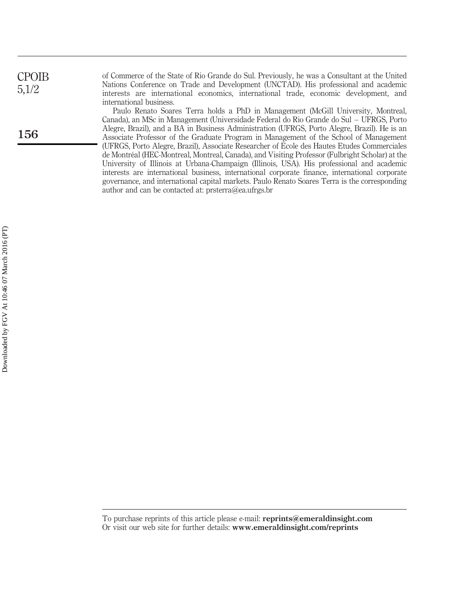| <b>CPOIB</b><br>5,1/2 | of Commerce of the State of Rio Grande do Sul. Previously, he was a Consultant at the United<br>Nations Conference on Trade and Development (UNCTAD). His professional and academic<br>interests are international economics, international trade, economic development, and |
|-----------------------|------------------------------------------------------------------------------------------------------------------------------------------------------------------------------------------------------------------------------------------------------------------------------|
|                       | international business.                                                                                                                                                                                                                                                      |
|                       | Paulo Renato Soares Terra holds a PhD in Management (McGill University, Montreal,                                                                                                                                                                                            |
|                       | Canada), an MSc in Management (Universidade Federal do Rio Grande do Sul – UFRGS, Porto                                                                                                                                                                                      |
|                       | Alegre, Brazil), and a BA in Business Administration (UFRGS, Porto Alegre, Brazil). He is an                                                                                                                                                                                 |
| 156                   | Associate Professor of the Graduate Program in Management of the School of Management                                                                                                                                                                                        |
|                       | (UFRGS, Porto Alegre, Brazil), Associate Researcher of Ecole des Hautes Etudes Commerciales                                                                                                                                                                                  |
|                       | de Montréal (HEC-Montreal, Montreal, Canada), and Visiting Professor (Fulbright Scholar) at the                                                                                                                                                                              |
|                       | University of Illinois at Urbana-Champaign (Illinois, USA). His professional and academic                                                                                                                                                                                    |
|                       | interests are international business, international corporate finance, international corporate                                                                                                                                                                               |
|                       | governance, and international capital markets. Paulo Renato Soares Terra is the corresponding                                                                                                                                                                                |
|                       | author and can be contacted at: prsterra@ea.ufrgs.br                                                                                                                                                                                                                         |

To purchase reprints of this article please e-mail: reprints@emeraldinsight.com Or visit our web site for further details: www.emeraldinsight.com/reprints